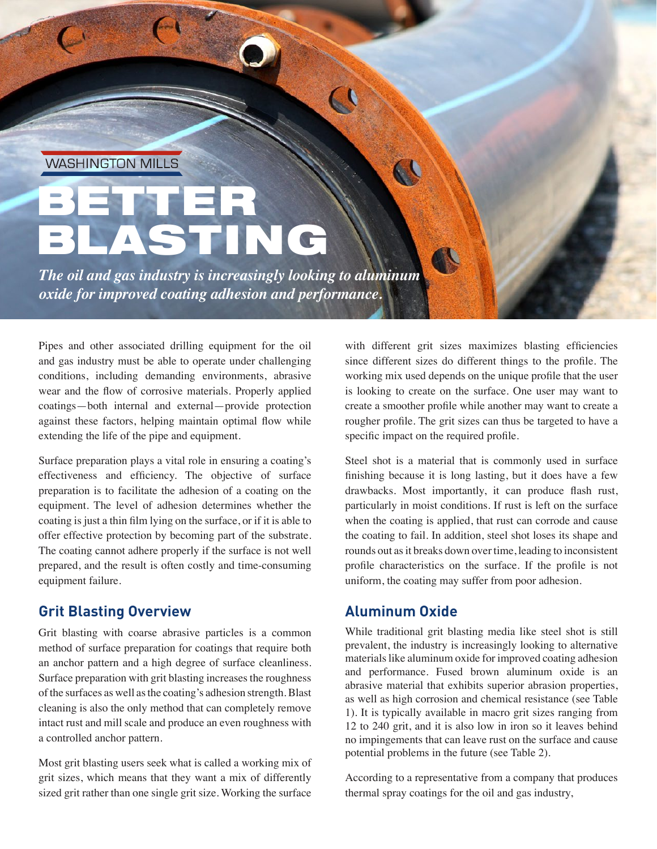**WASHINGTON MILLS** 

# ASTING BETTER

*The oil and gas industry is increasingly looking to aluminum oxide for improved coating adhesion and performance.* 

Pipes and other associated drilling equipment for the oil and gas industry must be able to operate under challenging conditions, including demanding environments, abrasive wear and the flow of corrosive materials. Properly applied coatings—both internal and external—provide protection against these factors, helping maintain optimal flow while extending the life of the pipe and equipment.

Surface preparation plays a vital role in ensuring a coating's effectiveness and efficiency. The objective of surface preparation is to facilitate the adhesion of a coating on the equipment. The level of adhesion determines whether the coating is just a thin film lying on the surface, or if it is able to offer effective protection by becoming part of the substrate. The coating cannot adhere properly if the surface is not well prepared, and the result is often costly and time-consuming equipment failure.

## **Grit Blasting Overview**

Grit blasting with coarse abrasive particles is a common method of surface preparation for coatings that require both an anchor pattern and a high degree of surface cleanliness. Surface preparation with grit blasting increases the roughness of the surfaces as well as the coating's adhesion strength. Blast cleaning is also the only method that can completely remove intact rust and mill scale and produce an even roughness with a controlled anchor pattern.

Most grit blasting users seek what is called a working mix of grit sizes, which means that they want a mix of differently sized grit rather than one single grit size. Working the surface with different grit sizes maximizes blasting efficiencies since different sizes do different things to the profile. The working mix used depends on the unique profile that the user is looking to create on the surface. One user may want to create a smoother profile while another may want to create a rougher profile. The grit sizes can thus be targeted to have a specific impact on the required profile.

Steel shot is a material that is commonly used in surface finishing because it is long lasting, but it does have a few drawbacks. Most importantly, it can produce flash rust, particularly in moist conditions. If rust is left on the surface when the coating is applied, that rust can corrode and cause the coating to fail. In addition, steel shot loses its shape and rounds out as it breaks down over time, leading to inconsistent profile characteristics on the surface. If the profile is not uniform, the coating may suffer from poor adhesion.

# **Aluminum Oxide**

While traditional grit blasting media like steel shot is still prevalent, the industry is increasingly looking to alternative materials like aluminum oxide for improved coating adhesion and performance. Fused brown aluminum oxide is an abrasive material that exhibits superior abrasion properties, as well as high corrosion and chemical resistance (see Table 1). It is typically available in macro grit sizes ranging from 12 to 240 grit, and it is also low in iron so it leaves behind no impingements that can leave rust on the surface and cause potential problems in the future (see Table 2).

According to a representative from a company that produces thermal spray coatings for the oil and gas industry,